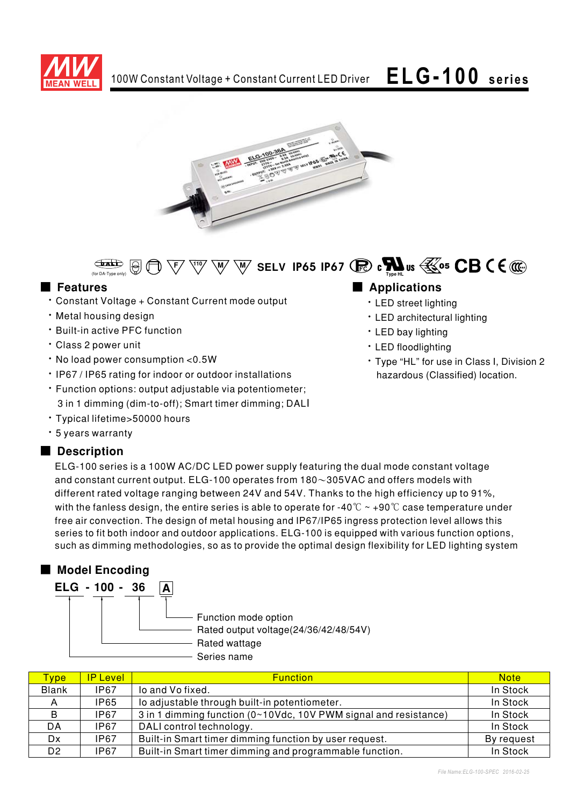





### ■ **Features**

- Constant Voltage + Constant Current mode output
- · Metal housing design
- Built-in active PFC function
- · Class 2 power unit
- No load power consumption < 0.5W
- IP67 / IP65 rating for indoor or outdoor installations
- · Function options: output adjustable via potentiometer;
- 3 in 1 dimming (dim-to-off); Smart timer dimming; DALI
- Typical lifetime>50000 hours
- \* 5 years warranty

### ■ Description

## ELG-100 series is a 100W AC/DC LED power supply featuring the dual mode constant voltage and constant current output.  $\mathsf{ELG\text{-}100}$  operates from 180 $\sim$ 305VAC and offers models with different rated voltage ranging between 24V and 54V. Thanks to the high efficiency up to 91%, with the fanless design, the entire series is able to operate for -40  $^\circ\!{\rm C}\simeq$  +90  $^\circ\!{\rm C}$  case temperature under free air convection. The design of metal housing and IP67/IP65 ingress protection level allows this series to fit both indoor and outdoor applications. ELG-100 is equipped with various function options,

such as dimming methodologies, so as to provide the optimal design flexibility for LED lighting system  $\,$ 

# ■ Model Encoding

| ELG - 100 - 36 | А |                                                               |
|----------------|---|---------------------------------------------------------------|
|                |   | Function mode option<br>Rated output voltage(24/36/42/48/54V) |
|                |   | Rated wattage                                                 |
|                |   | Series name                                                   |

| Type <sup>'</sup> | <b>IP Level</b> | <b>Function</b>                                                  | <b>Note</b> |
|-------------------|-----------------|------------------------------------------------------------------|-------------|
| <b>Blank</b>      | <b>IP67</b>     | lo and Vo fixed.                                                 | In Stock    |
| А                 | IP65            | lo adjustable through built-in potentiometer.                    | In Stock    |
| B                 | <b>IP67</b>     | 3 in 1 dimming function (0~10Vdc, 10V PWM signal and resistance) | In Stock    |
| DA                | <b>IP67</b>     | DALI control technology.                                         | In Stock    |
| Dx                | <b>IP67</b>     | Built-in Smart timer dimming function by user request.           | By request  |
| D <sub>2</sub>    | <b>IP67</b>     | Built-in Smart timer dimming and programmable function.          | In Stock    |

### 

- · LED street lighting
- · LED architectural lighting
- LED bay lighting
- · LED floodlighting
- \* Type "HL" for use in Class I, Division 2 hazardous (Classified) location.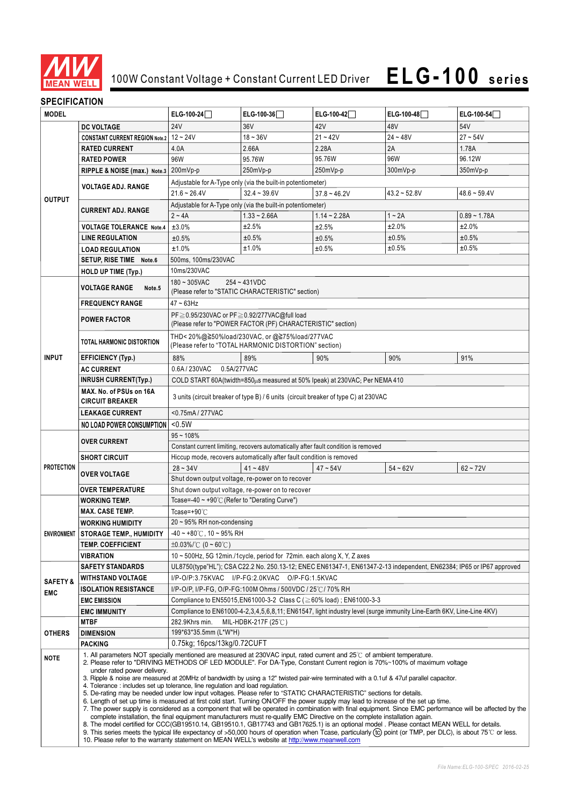

## 100W Constant Voltage + Constant Current LED Driver

# **ELG-100 series**

### **SPECIFICATION**

| <b>MODEL</b>        |                                                                                                                                                                                                                                                                                                                                                                                                                                                                                                                                                                                                                                                                                                                                                                                                                                                                                                                                                                                                                                                                                                                                                                                                                                                                                                                                                                                                                                                                                   | ELG-100-24                                                                                                           | ELG-100-36                                                                                            | ELG-100-42     | ELG-100-48     | ELG-100-54     |  |  |
|---------------------|-----------------------------------------------------------------------------------------------------------------------------------------------------------------------------------------------------------------------------------------------------------------------------------------------------------------------------------------------------------------------------------------------------------------------------------------------------------------------------------------------------------------------------------------------------------------------------------------------------------------------------------------------------------------------------------------------------------------------------------------------------------------------------------------------------------------------------------------------------------------------------------------------------------------------------------------------------------------------------------------------------------------------------------------------------------------------------------------------------------------------------------------------------------------------------------------------------------------------------------------------------------------------------------------------------------------------------------------------------------------------------------------------------------------------------------------------------------------------------------|----------------------------------------------------------------------------------------------------------------------|-------------------------------------------------------------------------------------------------------|----------------|----------------|----------------|--|--|
|                     | <b>DC VOLTAGE</b>                                                                                                                                                                                                                                                                                                                                                                                                                                                                                                                                                                                                                                                                                                                                                                                                                                                                                                                                                                                                                                                                                                                                                                                                                                                                                                                                                                                                                                                                 | <b>24V</b>                                                                                                           | 36V                                                                                                   | 42V            | 48V            | 54V            |  |  |
|                     | CONSTANT CURRENT REGION Note.2   12 ~ 24V                                                                                                                                                                                                                                                                                                                                                                                                                                                                                                                                                                                                                                                                                                                                                                                                                                                                                                                                                                                                                                                                                                                                                                                                                                                                                                                                                                                                                                         |                                                                                                                      | $18 - 36V$                                                                                            | $21 - 42V$     | $24 - 48V$     | $27 - 54V$     |  |  |
|                     | <b>RATED CURRENT</b>                                                                                                                                                                                                                                                                                                                                                                                                                                                                                                                                                                                                                                                                                                                                                                                                                                                                                                                                                                                                                                                                                                                                                                                                                                                                                                                                                                                                                                                              | 4.0A                                                                                                                 | 2.66A                                                                                                 | 2.28A          | 2A             | 1.78A          |  |  |
|                     | <b>RATED POWER</b>                                                                                                                                                                                                                                                                                                                                                                                                                                                                                                                                                                                                                                                                                                                                                                                                                                                                                                                                                                                                                                                                                                                                                                                                                                                                                                                                                                                                                                                                | 96W                                                                                                                  | 95.76W                                                                                                | 95.76W         | 96W            | 96.12W         |  |  |
|                     | RIPPLE & NOISE (max.) Note.3                                                                                                                                                                                                                                                                                                                                                                                                                                                                                                                                                                                                                                                                                                                                                                                                                                                                                                                                                                                                                                                                                                                                                                                                                                                                                                                                                                                                                                                      | 200mVp-p                                                                                                             | 250mVp-p                                                                                              | 250mVp-p       | 300mVp-p       | 350mVp-p       |  |  |
|                     |                                                                                                                                                                                                                                                                                                                                                                                                                                                                                                                                                                                                                                                                                                                                                                                                                                                                                                                                                                                                                                                                                                                                                                                                                                                                                                                                                                                                                                                                                   |                                                                                                                      | Adjustable for A-Type only (via the built-in potentiometer)                                           |                |                |                |  |  |
|                     | <b>VOLTAGE ADJ. RANGE</b>                                                                                                                                                                                                                                                                                                                                                                                                                                                                                                                                                                                                                                                                                                                                                                                                                                                                                                                                                                                                                                                                                                                                                                                                                                                                                                                                                                                                                                                         | $21.6 - 26.4V$                                                                                                       | $32.4 - 39.6V$                                                                                        | $37.8 - 46.2V$ | $43.2 - 52.8V$ | $48.6 - 59.4V$ |  |  |
| <b>OUTPUT</b>       |                                                                                                                                                                                                                                                                                                                                                                                                                                                                                                                                                                                                                                                                                                                                                                                                                                                                                                                                                                                                                                                                                                                                                                                                                                                                                                                                                                                                                                                                                   | Adjustable for A-Type only (via the built-in potentiometer)                                                          |                                                                                                       |                |                |                |  |  |
|                     | <b>CURRENT ADJ. RANGE</b>                                                                                                                                                                                                                                                                                                                                                                                                                                                                                                                                                                                                                                                                                                                                                                                                                                                                                                                                                                                                                                                                                                                                                                                                                                                                                                                                                                                                                                                         | $2 - 4A$                                                                                                             | $1.33 - 2.66A$                                                                                        | $1.14 - 2.28A$ | $1 - 2A$       | $0.89 - 1.78A$ |  |  |
|                     |                                                                                                                                                                                                                                                                                                                                                                                                                                                                                                                                                                                                                                                                                                                                                                                                                                                                                                                                                                                                                                                                                                                                                                                                                                                                                                                                                                                                                                                                                   | ±3.0%                                                                                                                | ±2.5%                                                                                                 |                | ±2.0%          | ±2.0%          |  |  |
|                     | <b>VOLTAGE TOLERANCE Note.4</b>                                                                                                                                                                                                                                                                                                                                                                                                                                                                                                                                                                                                                                                                                                                                                                                                                                                                                                                                                                                                                                                                                                                                                                                                                                                                                                                                                                                                                                                   |                                                                                                                      |                                                                                                       | ±2.5%          |                |                |  |  |
|                     | <b>LINE REGULATION</b>                                                                                                                                                                                                                                                                                                                                                                                                                                                                                                                                                                                                                                                                                                                                                                                                                                                                                                                                                                                                                                                                                                                                                                                                                                                                                                                                                                                                                                                            | ±0.5%                                                                                                                | ±0.5%<br>±1.0%                                                                                        | ±0.5%          | ±0.5%<br>±0.5% | ±0.5%<br>±0.5% |  |  |
|                     | <b>LOAD REGULATION</b>                                                                                                                                                                                                                                                                                                                                                                                                                                                                                                                                                                                                                                                                                                                                                                                                                                                                                                                                                                                                                                                                                                                                                                                                                                                                                                                                                                                                                                                            | ±1.0%                                                                                                                |                                                                                                       | ±0.5%          |                |                |  |  |
|                     | SETUP, RISE TIME Note.6                                                                                                                                                                                                                                                                                                                                                                                                                                                                                                                                                                                                                                                                                                                                                                                                                                                                                                                                                                                                                                                                                                                                                                                                                                                                                                                                                                                                                                                           | 500ms, 100ms/230VAC                                                                                                  |                                                                                                       |                |                |                |  |  |
|                     | <b>HOLD UP TIME (Typ.)</b>                                                                                                                                                                                                                                                                                                                                                                                                                                                                                                                                                                                                                                                                                                                                                                                                                                                                                                                                                                                                                                                                                                                                                                                                                                                                                                                                                                                                                                                        |                                                                                                                      | 10ms/230VAC                                                                                           |                |                |                |  |  |
|                     | <b>VOLTAGE RANGE</b><br>Note <sub>.5</sub>                                                                                                                                                                                                                                                                                                                                                                                                                                                                                                                                                                                                                                                                                                                                                                                                                                                                                                                                                                                                                                                                                                                                                                                                                                                                                                                                                                                                                                        | 180~305VAC                                                                                                           | $254 - 431VDC$<br>(Please refer to "STATIC CHARACTERISTIC" section)                                   |                |                |                |  |  |
|                     | <b>FREQUENCY RANGE</b>                                                                                                                                                                                                                                                                                                                                                                                                                                                                                                                                                                                                                                                                                                                                                                                                                                                                                                                                                                                                                                                                                                                                                                                                                                                                                                                                                                                                                                                            | $47 \sim 63$ Hz                                                                                                      |                                                                                                       |                |                |                |  |  |
|                     | <b>POWER FACTOR</b>                                                                                                                                                                                                                                                                                                                                                                                                                                                                                                                                                                                                                                                                                                                                                                                                                                                                                                                                                                                                                                                                                                                                                                                                                                                                                                                                                                                                                                                               | PF ≥ 0.95/230VAC or PF ≥ 0.92/277VAC@full load                                                                       |                                                                                                       |                |                |                |  |  |
|                     |                                                                                                                                                                                                                                                                                                                                                                                                                                                                                                                                                                                                                                                                                                                                                                                                                                                                                                                                                                                                                                                                                                                                                                                                                                                                                                                                                                                                                                                                                   |                                                                                                                      | (Please refer to "POWER FACTOR (PF) CHARACTERISTIC" section)                                          |                |                |                |  |  |
|                     | TOTAL HARMONIC DISTORTION                                                                                                                                                                                                                                                                                                                                                                                                                                                                                                                                                                                                                                                                                                                                                                                                                                                                                                                                                                                                                                                                                                                                                                                                                                                                                                                                                                                                                                                         |                                                                                                                      | THD<20%@≧50%load/230VAC, or @≧75%load/277VAC<br>(Please refer to "TOTAL HARMONIC DISTORTION" section) |                |                |                |  |  |
| <b>INPUT</b>        | <b>EFFICIENCY (Typ.)</b>                                                                                                                                                                                                                                                                                                                                                                                                                                                                                                                                                                                                                                                                                                                                                                                                                                                                                                                                                                                                                                                                                                                                                                                                                                                                                                                                                                                                                                                          | 88%                                                                                                                  | 89%                                                                                                   | 90%            | 90%            | 91%            |  |  |
|                     | <b>AC CURRENT</b>                                                                                                                                                                                                                                                                                                                                                                                                                                                                                                                                                                                                                                                                                                                                                                                                                                                                                                                                                                                                                                                                                                                                                                                                                                                                                                                                                                                                                                                                 | 0.6A/230VAC<br>0.5A/277VAC                                                                                           |                                                                                                       |                |                |                |  |  |
|                     | <b>INRUSH CURRENT(Typ.)</b>                                                                                                                                                                                                                                                                                                                                                                                                                                                                                                                                                                                                                                                                                                                                                                                                                                                                                                                                                                                                                                                                                                                                                                                                                                                                                                                                                                                                                                                       | COLD START 60A(twidth=850LLs measured at 50% Ipeak) at 230VAC; Per NEMA 410                                          |                                                                                                       |                |                |                |  |  |
|                     | MAX. No. of PSUs on 16A<br><b>CIRCUIT BREAKER</b>                                                                                                                                                                                                                                                                                                                                                                                                                                                                                                                                                                                                                                                                                                                                                                                                                                                                                                                                                                                                                                                                                                                                                                                                                                                                                                                                                                                                                                 | 3 units (circuit breaker of type B) / 6 units (circuit breaker of type C) at 230VAC                                  |                                                                                                       |                |                |                |  |  |
|                     | <b>LEAKAGE CURRENT</b>                                                                                                                                                                                                                                                                                                                                                                                                                                                                                                                                                                                                                                                                                                                                                                                                                                                                                                                                                                                                                                                                                                                                                                                                                                                                                                                                                                                                                                                            | <0.75mA/277VAC                                                                                                       |                                                                                                       |                |                |                |  |  |
|                     | NO LOAD POWER CONSUMPTION                                                                                                                                                                                                                                                                                                                                                                                                                                                                                                                                                                                                                                                                                                                                                                                                                                                                                                                                                                                                                                                                                                                                                                                                                                                                                                                                                                                                                                                         | $0.5W$                                                                                                               |                                                                                                       |                |                |                |  |  |
|                     |                                                                                                                                                                                                                                                                                                                                                                                                                                                                                                                                                                                                                                                                                                                                                                                                                                                                                                                                                                                                                                                                                                                                                                                                                                                                                                                                                                                                                                                                                   | $95 - 108%$                                                                                                          |                                                                                                       |                |                |                |  |  |
|                     | <b>OVER CURRENT</b>                                                                                                                                                                                                                                                                                                                                                                                                                                                                                                                                                                                                                                                                                                                                                                                                                                                                                                                                                                                                                                                                                                                                                                                                                                                                                                                                                                                                                                                               | Constant current limiting, recovers automatically after fault condition is removed                                   |                                                                                                       |                |                |                |  |  |
|                     | <b>SHORT CIRCUIT</b>                                                                                                                                                                                                                                                                                                                                                                                                                                                                                                                                                                                                                                                                                                                                                                                                                                                                                                                                                                                                                                                                                                                                                                                                                                                                                                                                                                                                                                                              | Hiccup mode, recovers automatically after fault condition is removed                                                 |                                                                                                       |                |                |                |  |  |
| <b>PROTECTION</b>   |                                                                                                                                                                                                                                                                                                                                                                                                                                                                                                                                                                                                                                                                                                                                                                                                                                                                                                                                                                                                                                                                                                                                                                                                                                                                                                                                                                                                                                                                                   | $28 - 34V$                                                                                                           | $41 - 48V$                                                                                            | $47 - 54V$     | $54 - 62V$     | $62 - 72V$     |  |  |
|                     | <b>OVER VOLTAGE</b>                                                                                                                                                                                                                                                                                                                                                                                                                                                                                                                                                                                                                                                                                                                                                                                                                                                                                                                                                                                                                                                                                                                                                                                                                                                                                                                                                                                                                                                               |                                                                                                                      | Shut down output voltage, re-power on to recover                                                      |                |                |                |  |  |
|                     | <b>OVER TEMPERATURE</b>                                                                                                                                                                                                                                                                                                                                                                                                                                                                                                                                                                                                                                                                                                                                                                                                                                                                                                                                                                                                                                                                                                                                                                                                                                                                                                                                                                                                                                                           |                                                                                                                      | Shut down output voltage, re-power on to recover                                                      |                |                |                |  |  |
|                     | <b>WORKING TEMP.</b>                                                                                                                                                                                                                                                                                                                                                                                                                                                                                                                                                                                                                                                                                                                                                                                                                                                                                                                                                                                                                                                                                                                                                                                                                                                                                                                                                                                                                                                              | Tcase=-40 ~ +90°C (Refer to "Derating Curve")                                                                        |                                                                                                       |                |                |                |  |  |
|                     | <b>MAX. CASE TEMP.</b>                                                                                                                                                                                                                                                                                                                                                                                                                                                                                                                                                                                                                                                                                                                                                                                                                                                                                                                                                                                                                                                                                                                                                                                                                                                                                                                                                                                                                                                            | Tcase=+90 $°C$                                                                                                       |                                                                                                       |                |                |                |  |  |
|                     | <b>WORKING HUMIDITY</b>                                                                                                                                                                                                                                                                                                                                                                                                                                                                                                                                                                                                                                                                                                                                                                                                                                                                                                                                                                                                                                                                                                                                                                                                                                                                                                                                                                                                                                                           | 20 ~ 95% RH non-condensing                                                                                           |                                                                                                       |                |                |                |  |  |
|                     | ENVIRONMENT STORAGE TEMP., HUMIDITY                                                                                                                                                                                                                                                                                                                                                                                                                                                                                                                                                                                                                                                                                                                                                                                                                                                                                                                                                                                                                                                                                                                                                                                                                                                                                                                                                                                                                                               | -40 ~ +80°C, 10 ~ 95% RH                                                                                             |                                                                                                       |                |                |                |  |  |
|                     | <b>TEMP. COEFFICIENT</b>                                                                                                                                                                                                                                                                                                                                                                                                                                                                                                                                                                                                                                                                                                                                                                                                                                                                                                                                                                                                                                                                                                                                                                                                                                                                                                                                                                                                                                                          | $\pm 0.03\%$ /°C (0 ~ 60°C)                                                                                          |                                                                                                       |                |                |                |  |  |
|                     | <b>VIBRATION</b>                                                                                                                                                                                                                                                                                                                                                                                                                                                                                                                                                                                                                                                                                                                                                                                                                                                                                                                                                                                                                                                                                                                                                                                                                                                                                                                                                                                                                                                                  | 10 ~ 500Hz, 5G 12min./1cycle, period for 72min. each along X, Y, Z axes                                              |                                                                                                       |                |                |                |  |  |
|                     | <b>SAFETY STANDARDS</b>                                                                                                                                                                                                                                                                                                                                                                                                                                                                                                                                                                                                                                                                                                                                                                                                                                                                                                                                                                                                                                                                                                                                                                                                                                                                                                                                                                                                                                                           | UL8750(type"HL"); CSA C22.2 No. 250.13-12; ENEC EN61347-1, EN61347-2-13 independent, EN62384; IP65 or IP67 approved  |                                                                                                       |                |                |                |  |  |
| <b>SAFETY &amp;</b> | <b>WITHSTAND VOLTAGE</b>                                                                                                                                                                                                                                                                                                                                                                                                                                                                                                                                                                                                                                                                                                                                                                                                                                                                                                                                                                                                                                                                                                                                                                                                                                                                                                                                                                                                                                                          | I/P-O/P:3.75KVAC I/P-FG:2.0KVAC O/P-FG:1.5KVAC                                                                       |                                                                                                       |                |                |                |  |  |
| EMC                 | <b>ISOLATION RESISTANCE</b>                                                                                                                                                                                                                                                                                                                                                                                                                                                                                                                                                                                                                                                                                                                                                                                                                                                                                                                                                                                                                                                                                                                                                                                                                                                                                                                                                                                                                                                       | I/P-O/P, I/P-FG, O/P-FG:100M Ohms / 500VDC / 25℃/ 70% RH                                                             |                                                                                                       |                |                |                |  |  |
|                     | <b>EMC EMISSION</b>                                                                                                                                                                                                                                                                                                                                                                                                                                                                                                                                                                                                                                                                                                                                                                                                                                                                                                                                                                                                                                                                                                                                                                                                                                                                                                                                                                                                                                                               | Compliance to EN55015, EN61000-3-2 Class C (≧60% load); EN61000-3-3                                                  |                                                                                                       |                |                |                |  |  |
|                     | <b>EMC IMMUNITY</b>                                                                                                                                                                                                                                                                                                                                                                                                                                                                                                                                                                                                                                                                                                                                                                                                                                                                                                                                                                                                                                                                                                                                                                                                                                                                                                                                                                                                                                                               | Compliance to EN61000-4-2,3,4,5,6,8,11; EN61547, light industry level (surge immunity Line-Earth 6KV, Line-Line 4KV) |                                                                                                       |                |                |                |  |  |
|                     | <b>MTBF</b>                                                                                                                                                                                                                                                                                                                                                                                                                                                                                                                                                                                                                                                                                                                                                                                                                                                                                                                                                                                                                                                                                                                                                                                                                                                                                                                                                                                                                                                                       | 282.9Khrs min.<br>MIL-HDBK-217F (25 $\degree$ C)                                                                     |                                                                                                       |                |                |                |  |  |
| OTHERS              | <b>DIMENSION</b>                                                                                                                                                                                                                                                                                                                                                                                                                                                                                                                                                                                                                                                                                                                                                                                                                                                                                                                                                                                                                                                                                                                                                                                                                                                                                                                                                                                                                                                                  | 199*63*35.5mm (L*W*H)                                                                                                |                                                                                                       |                |                |                |  |  |
|                     | <b>PACKING</b>                                                                                                                                                                                                                                                                                                                                                                                                                                                                                                                                                                                                                                                                                                                                                                                                                                                                                                                                                                                                                                                                                                                                                                                                                                                                                                                                                                                                                                                                    | 0.75kg; 16pcs/13kg/0.72CUFT                                                                                          |                                                                                                       |                |                |                |  |  |
| NOTE                | 1. All parameters NOT specially mentioned are measured at 230VAC input, rated current and 25°C of ambient temperature.<br>2. Please refer to "DRIVING METHODS OF LED MODULE". For DA-Type, Constant Current region is 70%~100% of maximum voltage<br>under rated power delivery.<br>3. Ripple & noise are measured at 20MHz of bandwidth by using a 12" twisted pair-wire terminated with a 0.1uf & 47uf parallel capacitor.<br>4. Tolerance : includes set up tolerance, line regulation and load regulation.<br>5. De-rating may be needed under low input voltages. Please refer to "STATIC CHARACTERISTIC" sections for details.<br>6. Length of set up time is measured at first cold start. Turning ON/OFF the power supply may lead to increase of the set up time.<br>7. The power supply is considered as a component that will be operated in combination with final equipment. Since EMC performance will be affected by the<br>complete installation, the final equipment manufacturers must re-qualify EMC Directive on the complete installation again.<br>8. The model certified for CCC(GB19510.14, GB19510.1, GB17743 and GB17625.1) is an optional model . Please contact MEAN WELL for details.<br>9. This series meets the typical life expectancy of >50,000 hours of operation when Tcase, particularly (tc) point (or TMP, per DLC), is about 75℃ or less.<br>10. Please refer to the warranty statement on MEAN WELL's website at http://www.meanwell.com |                                                                                                                      |                                                                                                       |                |                |                |  |  |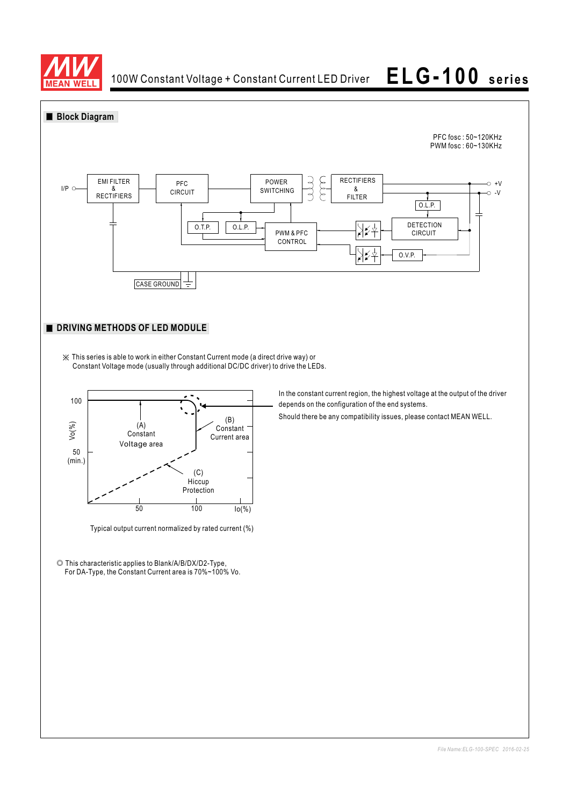

100W Constant Voltage + Constant Current LED Driver

**ELG-100 series**

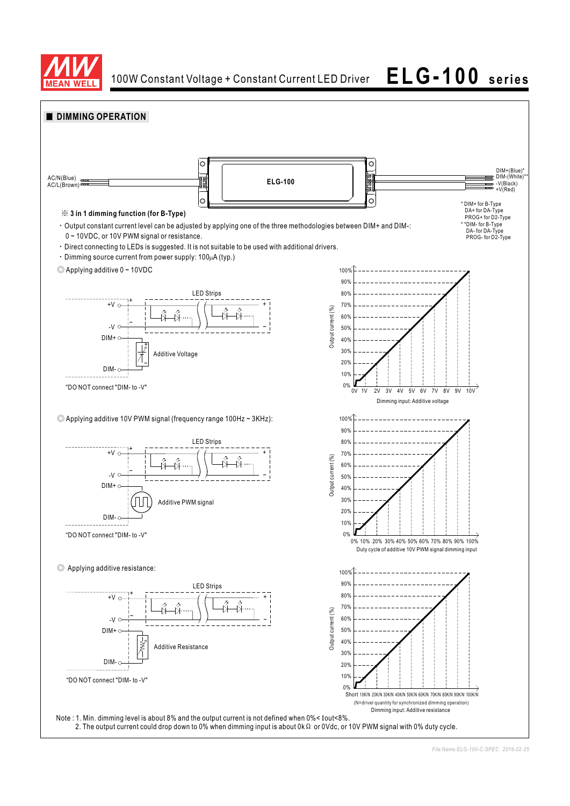

100W Constant Voltage + Constant Current LED Driver **ELG-100 series**

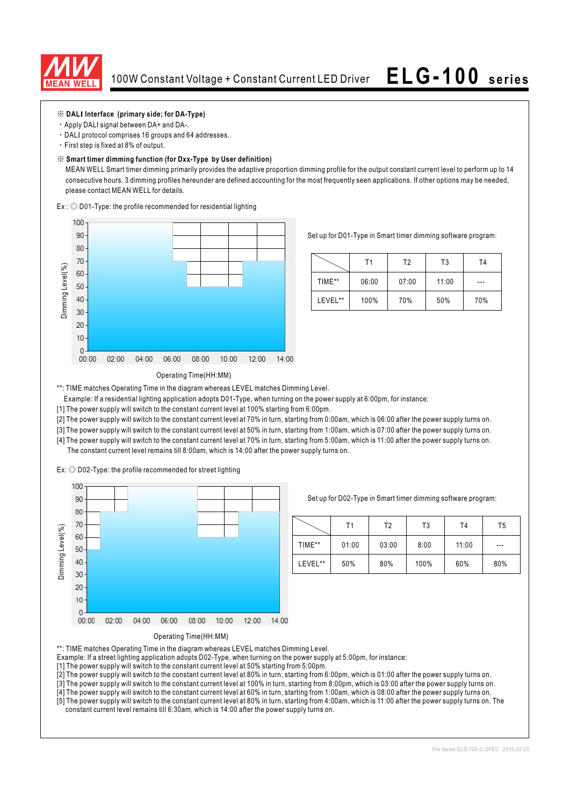

### ※ **DAL Interface (primary side; for DA-Type) I**

- Apply DALI signal between DA+ and DA-.
- · DALI protocol comprises 16 groups and 64 addresses.
- First step is fixed at 8% of output.

### ※ **Smart timer dimming function (for Dxx-Type by User definition)**

MEAN WELL Smart timer dimming primarily provides the adaptive proportion dimming profile for the output constant current level to perform up to 14 consecutive hours. 3 dimming profiles hereunder are defined accounting for the most frequently seen applications. If other options may be needed, please contact MEAN WELL for details.

 $Ex:$   $\odot$  D01-Type: the profile recommended for residential lighting



Set up for D01-Type in Smart timer dimming software program:

|         | Τ1    | T2    | T3    | T4  |
|---------|-------|-------|-------|-----|
| TIME**  | 06:00 | 07:00 | 11:00 | --- |
| LEVEL** | 100%  | 70%   | 50%   | 70% |

### Operating Time(HH:MM)

\*\*: TIME matches Operating Time in the diagram whereas LEVEL matches Dimming Level.

- Example: If a residential lighting application adopts D01-Type, when turning on the power supply at 6:00pm, for instance:
- [1] The power supply will switch to the constant current level at 100% starting from 6:00pm.
- [2] The power supply will switch to the constant current level at 70% in turn, starting from 0:00am, which is 06:00 after the power supply turns on.
- [3] The power supply will switch to the constant current level at 50% in turn, starting from 1:00am, which is 07:00 after the power supply turns on.
- [4] The power supply will switch to the constant current level at 70% in turn, starting from 5:00am, which is 11:00 after the power supply turns on. The constant current level remains till 8:00am, which is 14:00 after the power supply turns on.

 $Ex:$   $\odot$  D02-Type: the profile recommended for street lighting



Set up for D02-Type in Smart timer dimming software program:

|         | Τ1    | Т2    | T3   | T <sub>4</sub> | T5  |
|---------|-------|-------|------|----------------|-----|
| TIME**  | 01:00 | 03:00 | 8:00 | 11:00          | --- |
| LEVEL** | 50%   | 80%   | 100% | 60%            | 80% |



\*\*: TIME matches Operating Time in the diagram whereas LEVEL matches Dimming Level.

- Example: If a street lighting application adopts D02-Type, when turning on the power supply at 5:00pm, for instance:
- [1] The power supply will switch to the constant current level at 50% starting from 5:00pm.
- [2] The power supply will switch to the constant current level at 80% in turn, starting from 6:00pm, which is 01:00 after the power supply turns on.
- [3] The power supply will switch to the constant current level at 100% in turn, starting from 8:00pm, which is 03:00 after the power supply turns on.
- [4] The power supply will switch to the constant current level at 60% in turn, starting from 1:00am, which is 08:00 after the power supply turns on. [5] The power supply will switch to the constant current level at 80% in turn, starting from 4:00am, which is 11:00 after the power supply turns on. The constant current level remains till 6:30am, which is 14:00 after the power supply turns on.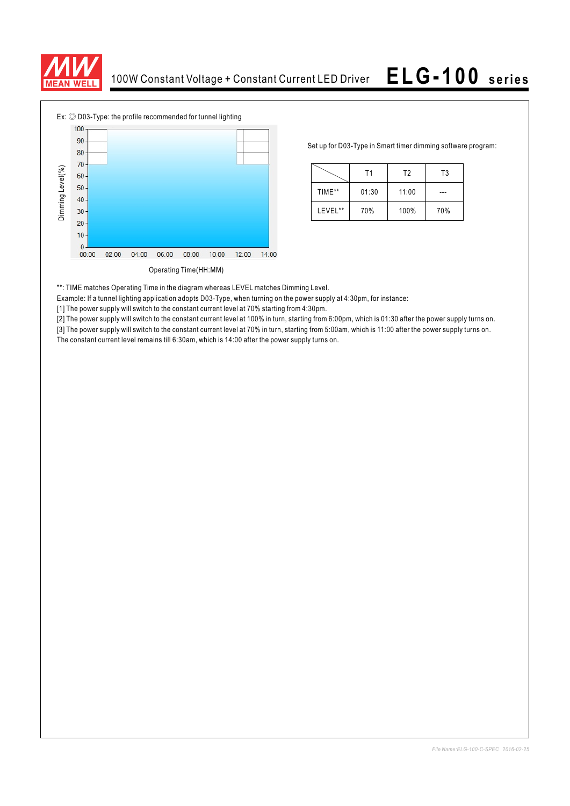



Set up for D03-Type in Smart timer dimming software program:

|         | Τ1    |       | T3  |  |
|---------|-------|-------|-----|--|
| TIME**  | 01:30 | 11:00 |     |  |
| LEVEL** | 70%   | 100%  | 70% |  |

\*\*: TIME matches Operating Time in the diagram whereas LEVEL matches Dimming Level.

Example: If a tunnel lighting application adopts D03-Type, when turning on the power supply at 4:30pm, for instance:

[1] The power supply will switch to the constant current level at 70% starting from 4:30pm.

[2] The power supply will switch to the constant current level at 100% in turn, starting from 6:00pm, which is 01:30 after the power supply turns on.

[3] The power supply will switch to the constant current level at 70% in turn, starting from 5:00am, which is 11:00 after the power supply turns on.<br>The constant current level remains till 6:30am, which is 14:00 after the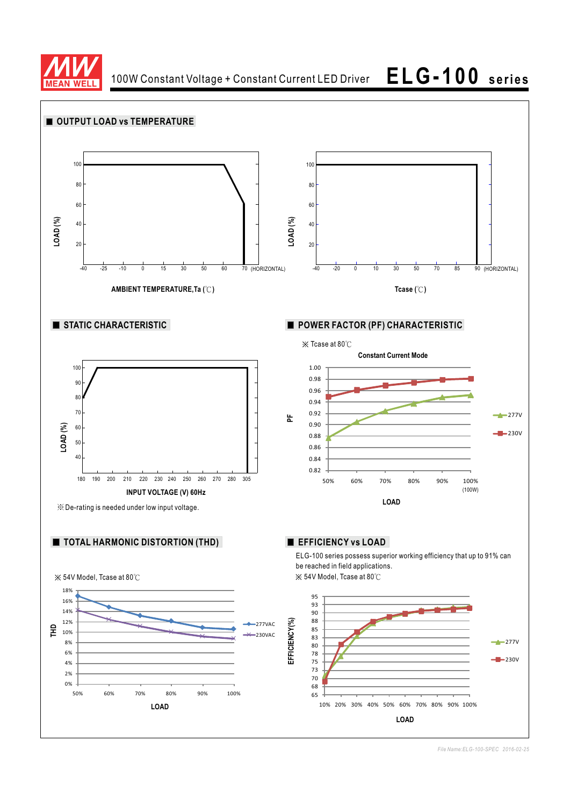

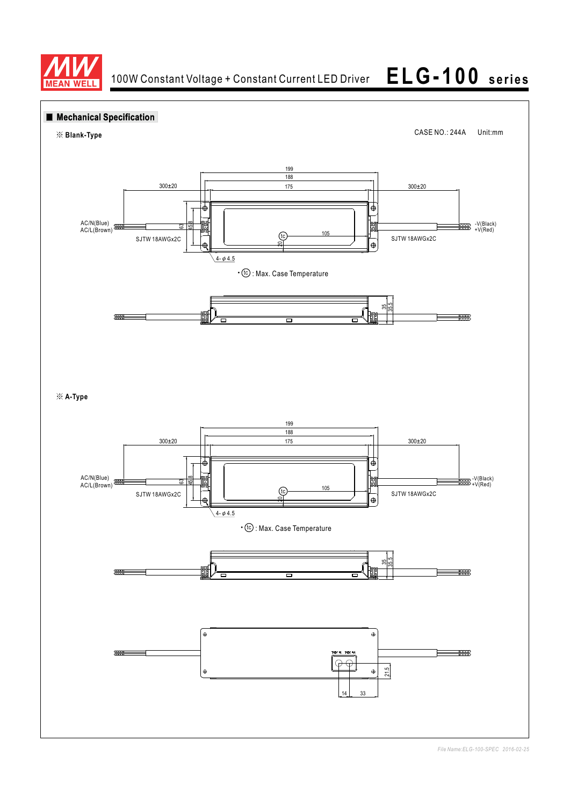